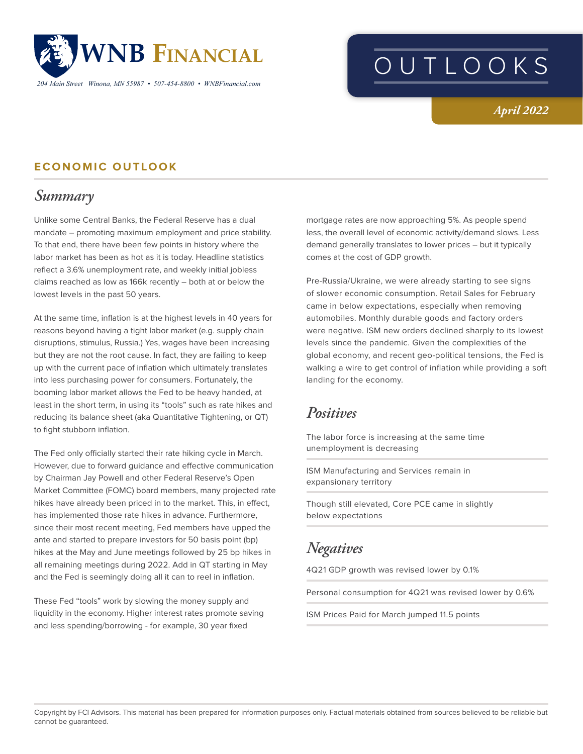

*204 Main Street Winona, MN 55987 • 507-454-8800 • WNBFinancial.com*

# OUTLOOKS

#### *April 2022*

#### **ECONOMIC OUTLOOK**

## *Summary*

Unlike some Central Banks, the Federal Reserve has a dual mandate – promoting maximum employment and price stability. To that end, there have been few points in history where the labor market has been as hot as it is today. Headline statistics reflect a 3.6% unemployment rate, and weekly initial jobless claims reached as low as 166k recently – both at or below the lowest levels in the past 50 years.

At the same time, inflation is at the highest levels in 40 years for reasons beyond having a tight labor market (e.g. supply chain disruptions, stimulus, Russia.) Yes, wages have been increasing but they are not the root cause. In fact, they are failing to keep up with the current pace of inflation which ultimately translates into less purchasing power for consumers. Fortunately, the booming labor market allows the Fed to be heavy handed, at least in the short term, in using its "tools" such as rate hikes and reducing its balance sheet (aka Quantitative Tightening, or QT) to fight stubborn inflation.

The Fed only officially started their rate hiking cycle in March. However, due to forward guidance and effective communication by Chairman Jay Powell and other Federal Reserve's Open Market Committee (FOMC) board members, many projected rate hikes have already been priced in to the market. This, in effect, has implemented those rate hikes in advance. Furthermore, since their most recent meeting, Fed members have upped the ante and started to prepare investors for 50 basis point (bp) hikes at the May and June meetings followed by 25 bp hikes in all remaining meetings during 2022. Add in QT starting in May and the Fed is seemingly doing all it can to reel in inflation.

These Fed "tools" work by slowing the money supply and liquidity in the economy. Higher interest rates promote saving and less spending/borrowing - for example, 30 year fixed

mortgage rates are now approaching 5%. As people spend less, the overall level of economic activity/demand slows. Less demand generally translates to lower prices – but it typically comes at the cost of GDP growth.

Pre-Russia/Ukraine, we were already starting to see signs of slower economic consumption. Retail Sales for February came in below expectations, especially when removing automobiles. Monthly durable goods and factory orders were negative. ISM new orders declined sharply to its lowest levels since the pandemic. Given the complexities of the global economy, and recent geo-political tensions, the Fed is walking a wire to get control of inflation while providing a soft landing for the economy.

#### *Positives*

The labor force is increasing at the same time unemployment is decreasing

ISM Manufacturing and Services remain in expansionary territory

Though still elevated, Core PCE came in slightly below expectations

## *Negatives*

4Q21 GDP growth was revised lower by 0.1%

Personal consumption for 4Q21 was revised lower by 0.6%

ISM Prices Paid for March jumped 11.5 points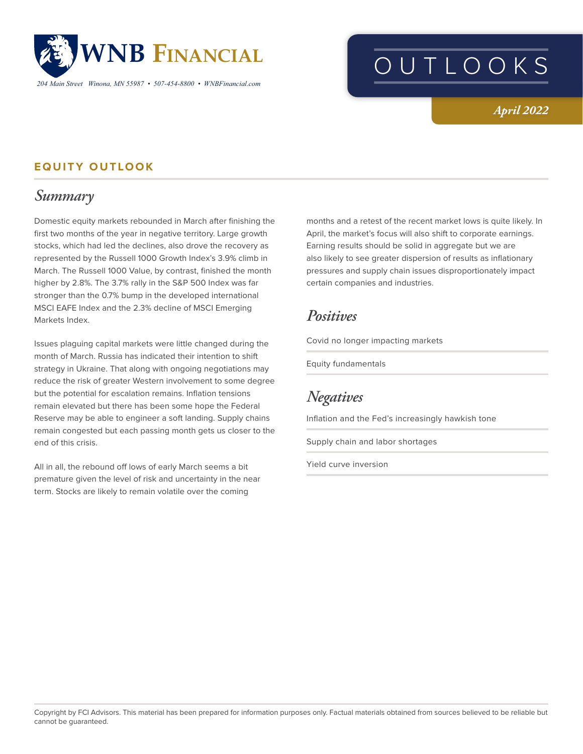

OUTLOOKS

#### *April 2022*

#### **EQUITY OUTLOOK**

### *Summary*

Domestic equity markets rebounded in March after finishing the first two months of the year in negative territory. Large growth stocks, which had led the declines, also drove the recovery as represented by the Russell 1000 Growth Index's 3.9% climb in March. The Russell 1000 Value, by contrast, finished the month higher by 2.8%. The 3.7% rally in the S&P 500 Index was far stronger than the 0.7% bump in the developed international MSCI EAFE Index and the 2.3% decline of MSCI Emerging Markets Index.

Issues plaguing capital markets were little changed during the month of March. Russia has indicated their intention to shift strategy in Ukraine. That along with ongoing negotiations may reduce the risk of greater Western involvement to some degree but the potential for escalation remains. Inflation tensions remain elevated but there has been some hope the Federal Reserve may be able to engineer a soft landing. Supply chains remain congested but each passing month gets us closer to the end of this crisis.

All in all, the rebound off lows of early March seems a bit premature given the level of risk and uncertainty in the near term. Stocks are likely to remain volatile over the coming

months and a retest of the recent market lows is quite likely. In April, the market's focus will also shift to corporate earnings. Earning results should be solid in aggregate but we are also likely to see greater dispersion of results as inflationary pressures and supply chain issues disproportionately impact certain companies and industries.

#### *Positives*

Covid no longer impacting markets

Equity fundamentals

*Negatives*

Inflation and the Fed's increasingly hawkish tone

Supply chain and labor shortages

Yield curve inversion

Copyright by FCI Advisors. This material has been prepared for information purposes only. Factual materials obtained from sources believed to be reliable but cannot be guaranteed.